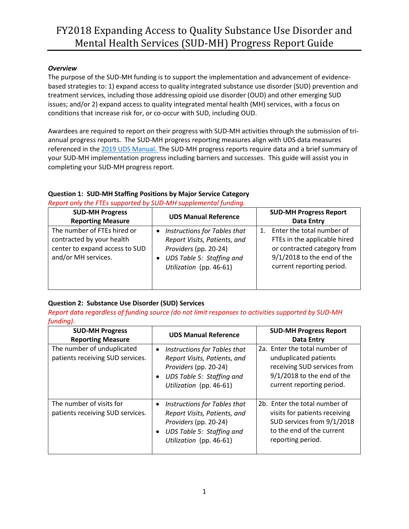#### *Overview*

The purpose of the SUD-MH funding is to support the implementation and advancement of evidencebased strategies to: 1) expand access to quality integrated substance use disorder (SUD) prevention and treatment services, including those addressing opioid use disorder (OUD) and other emerging SUD issues; and/or 2) expand access to quality integrated mental health (MH) services, with a focus on conditions that increase risk for, or co-occur with SUD, including OUD.

Awardees are required to report on their progress with SUD-MH activities through the submission of triannual progress reports. The SUD-MH progress reporting measures align with UDS data measures referenced in the [2019 UDS Manual.](http://www.bphcdata.net/docs/uds_rep_instr.pdf) The SUD-MH progress reports require data and a brief summary of your SUD-MH implementation progress including barriers and successes. This guide will assist you in completing your SUD-MH progress report.

#### **Question 1: SUD-MH Staffing Positions by Major Service Category**

*Report only the FTEs supported by SUD-MH supplemental funding.*

| <b>SUD-MH Progress</b><br><b>Reporting Measure</b>                                                                | <b>UDS Manual Reference</b>                                                                                                                                | <b>SUD-MH Progress Report</b><br><b>Data Entry</b>                                                                                                       |
|-------------------------------------------------------------------------------------------------------------------|------------------------------------------------------------------------------------------------------------------------------------------------------------|----------------------------------------------------------------------------------------------------------------------------------------------------------|
| The number of FTEs hired or<br>contracted by your health<br>center to expand access to SUD<br>and/or MH services. | Instructions for Tables that<br>$\bullet$<br>Report Visits, Patients, and<br>Providers (pp. 20-24)<br>UDS Table 5: Staffing and<br>Utilization (pp. 46-61) | 1. Enter the total number of<br>FTEs in the applicable hired<br>or contracted category from<br>$9/1/2018$ to the end of the<br>current reporting period. |

### **Question 2: Substance Use Disorder (SUD) Services**

*Report data regardless of funding source (do not limit responses to activities supported by SUD-MH funding).*

| <b>SUD-MH Progress</b><br><b>Reporting Measure</b>             | <b>UDS Manual Reference</b>                                                                                                                                             | <b>SUD-MH Progress Report</b><br>Data Entry                                                                                                        |
|----------------------------------------------------------------|-------------------------------------------------------------------------------------------------------------------------------------------------------------------------|----------------------------------------------------------------------------------------------------------------------------------------------------|
| The number of unduplicated<br>patients receiving SUD services. | Instructions for Tables that<br>$\bullet$<br>Report Visits, Patients, and<br>Providers (pp. 20-24)<br>UDS Table 5: Staffing and<br>$\bullet$<br>Utilization (pp. 46-61) | 2a. Enter the total number of<br>unduplicated patients<br>receiving SUD services from<br>$9/1/2018$ to the end of the<br>current reporting period. |
| The number of visits for<br>patients receiving SUD services.   | Instructions for Tables that<br>$\bullet$<br>Report Visits, Patients, and<br>Providers (pp. 20-24)<br>UDS Table 5: Staffing and<br>$\bullet$<br>Utilization (pp. 46-61) | 2b. Enter the total number of<br>visits for patients receiving<br>SUD services from 9/1/2018<br>to the end of the current<br>reporting period.     |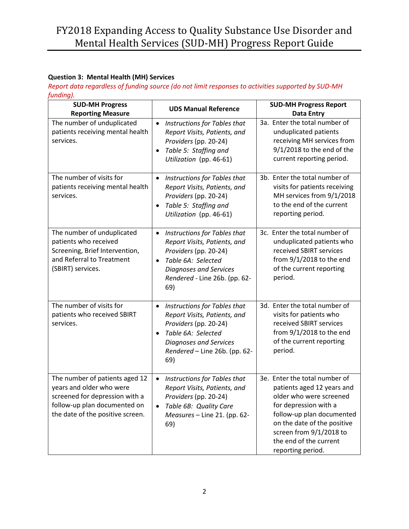## **Question 3: Mental Health (MH) Services**

*Report data regardless of funding source (do not limit responses to activities supported by SUD-MH funding).*

| <b>SUD-MH Progress</b><br><b>Reporting Measure</b>                                                                                                               | <b>UDS Manual Reference</b>                                                                                                                                                                                    | <b>SUD-MH Progress Report</b><br><b>Data Entry</b>                                                                                                                                                                                                    |
|------------------------------------------------------------------------------------------------------------------------------------------------------------------|----------------------------------------------------------------------------------------------------------------------------------------------------------------------------------------------------------------|-------------------------------------------------------------------------------------------------------------------------------------------------------------------------------------------------------------------------------------------------------|
| The number of unduplicated<br>patients receiving mental health<br>services.                                                                                      | Instructions for Tables that<br>$\bullet$<br>Report Visits, Patients, and<br>Providers (pp. 20-24)<br>Table 5: Staffing and<br>$\bullet$<br>Utilization (pp. 46-61)                                            | 3a. Enter the total number of<br>unduplicated patients<br>receiving MH services from<br>$9/1/2018$ to the end of the<br>current reporting period.                                                                                                     |
| The number of visits for<br>patients receiving mental health<br>services.                                                                                        | Instructions for Tables that<br>$\bullet$<br>Report Visits, Patients, and<br>Providers (pp. 20-24)<br>Table 5: Staffing and<br>Utilization (pp. 46-61)                                                         | 3b. Enter the total number of<br>visits for patients receiving<br>MH services from 9/1/2018<br>to the end of the current<br>reporting period.                                                                                                         |
| The number of unduplicated<br>patients who received<br>Screening, Brief Intervention,<br>and Referral to Treatment<br>(SBIRT) services.                          | Instructions for Tables that<br>$\bullet$<br>Report Visits, Patients, and<br>Providers (pp. 20-24)<br>Table 6A: Selected<br>$\bullet$<br><b>Diagnoses and Services</b><br>Rendered - Line 26b. (pp. 62-<br>69) | 3c. Enter the total number of<br>unduplicated patients who<br>received SBIRT services<br>from 9/1/2018 to the end<br>of the current reporting<br>period.                                                                                              |
| The number of visits for<br>patients who received SBIRT<br>services.                                                                                             | Instructions for Tables that<br>$\bullet$<br>Report Visits, Patients, and<br>Providers (pp. 20-24)<br>Table 6A: Selected<br><b>Diagnoses and Services</b><br>Rendered - Line 26b. (pp. 62-<br>69)              | 3d. Enter the total number of<br>visits for patients who<br>received SBIRT services<br>from 9/1/2018 to the end<br>of the current reporting<br>period.                                                                                                |
| The number of patients aged 12<br>years and older who were<br>screened for depression with a<br>follow-up plan documented on<br>the date of the positive screen. | Instructions for Tables that<br>$\bullet$<br>Report Visits, Patients, and<br>Providers (pp. 20-24)<br>Table 6B: Quality Care<br>Measures - Line 21. (pp. 62-<br>69)                                            | 3e. Enter the total number of<br>patients aged 12 years and<br>older who were screened<br>for depression with a<br>follow-up plan documented<br>on the date of the positive<br>screen from 9/1/2018 to<br>the end of the current<br>reporting period. |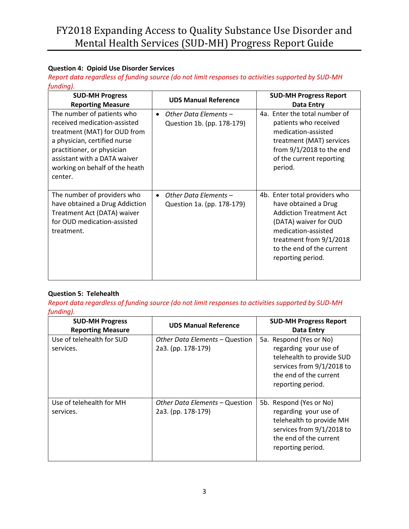## **Question 4: Opioid Use Disorder Services**

*Report data regardless of funding source (do not limit responses to activities supported by SUD-MH funding).*

| <b>SUD-MH Progress</b><br><b>Reporting Measure</b>                                                                                                                                                                                    | <b>UDS Manual Reference</b>                                      | <b>SUD-MH Progress Report</b><br>Data Entry                                                                                                                                                                          |
|---------------------------------------------------------------------------------------------------------------------------------------------------------------------------------------------------------------------------------------|------------------------------------------------------------------|----------------------------------------------------------------------------------------------------------------------------------------------------------------------------------------------------------------------|
| The number of patients who<br>received medication-assisted<br>treatment (MAT) for OUD from<br>a physician, certified nurse<br>practitioner, or physician<br>assistant with a DATA waiver<br>working on behalf of the heath<br>center. | Other Data Elements -<br>$\bullet$<br>Question 1b. (pp. 178-179) | 4a. Enter the total number of<br>patients who received<br>medication-assisted<br>treatment (MAT) services<br>from $9/1/2018$ to the end<br>of the current reporting<br>period.                                       |
| The number of providers who<br>have obtained a Drug Addiction<br>Treatment Act (DATA) waiver<br>for OUD medication-assisted<br>treatment.                                                                                             | Other Data Elements -<br>$\bullet$<br>Question 1a. (pp. 178-179) | 4b. Enter total providers who<br>have obtained a Drug<br><b>Addiction Treatment Act</b><br>(DATA) waiver for OUD<br>medication-assisted<br>treatment from 9/1/2018<br>to the end of the current<br>reporting period. |

### **Question 5: Telehealth**

*Report data regardless of funding source (do not limit responses to activities supported by SUD-MH funding).*

| <b>SUD-MH Progress</b><br><b>Reporting Measure</b> | <b>UDS Manual Reference</b>                          | <b>SUD-MH Progress Report</b><br>Data Entry                                                                                                               |
|----------------------------------------------------|------------------------------------------------------|-----------------------------------------------------------------------------------------------------------------------------------------------------------|
| Use of telehealth for SUD<br>services.             | Other Data Elements - Question<br>2a3. (pp. 178-179) | 5a. Respond (Yes or No)<br>regarding your use of<br>telehealth to provide SUD<br>services from 9/1/2018 to<br>the end of the current<br>reporting period. |
| Use of telehealth for MH<br>services.              | Other Data Elements – Question<br>2a3. (pp. 178-179) | 5b. Respond (Yes or No)<br>regarding your use of<br>telehealth to provide MH<br>services from 9/1/2018 to<br>the end of the current<br>reporting period.  |